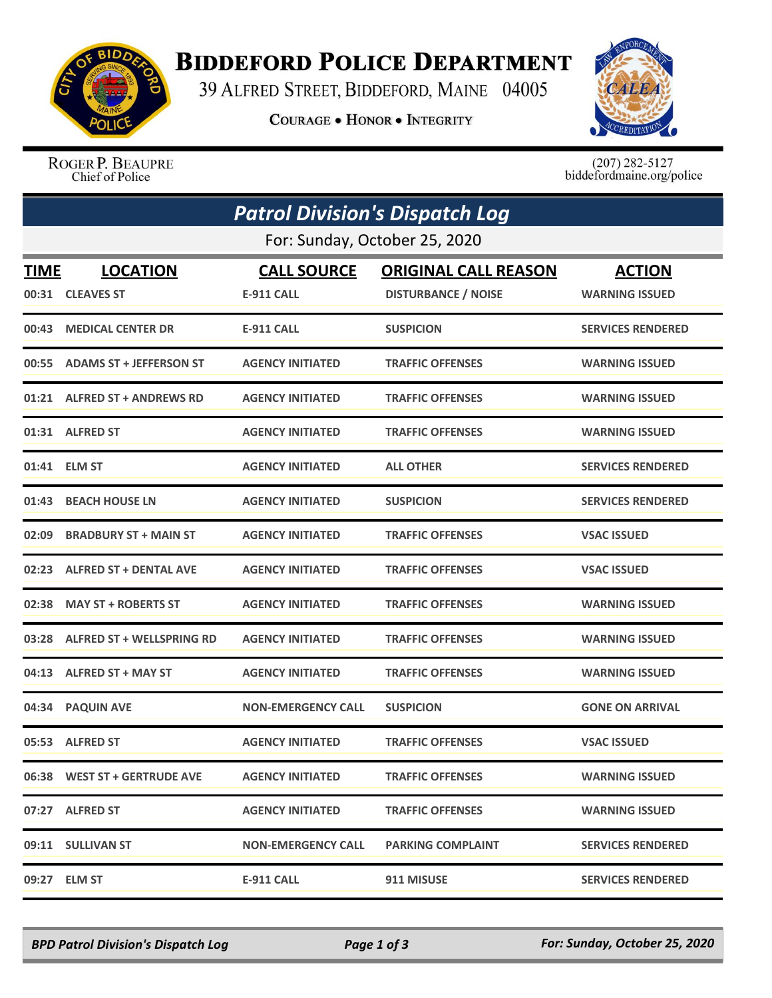

## **BIDDEFORD POLICE DEPARTMENT**

39 ALFRED STREET, BIDDEFORD, MAINE 04005

**COURAGE . HONOR . INTEGRITY** 



ROGER P. BEAUPRE Chief of Police

 $(207)$  282-5127 biddefordmaine.org/police

|                               | <b>Patrol Division's Dispatch Log</b> |                                         |                                                           |                                        |  |  |  |
|-------------------------------|---------------------------------------|-----------------------------------------|-----------------------------------------------------------|----------------------------------------|--|--|--|
| For: Sunday, October 25, 2020 |                                       |                                         |                                                           |                                        |  |  |  |
| <b>TIME</b>                   | <b>LOCATION</b><br>00:31 CLEAVES ST   | <b>CALL SOURCE</b><br><b>E-911 CALL</b> | <b>ORIGINAL CALL REASON</b><br><b>DISTURBANCE / NOISE</b> | <b>ACTION</b><br><b>WARNING ISSUED</b> |  |  |  |
| 00:43                         | <b>MEDICAL CENTER DR</b>              | <b>E-911 CALL</b>                       | <b>SUSPICION</b>                                          | <b>SERVICES RENDERED</b>               |  |  |  |
|                               | 00:55 ADAMS ST + JEFFERSON ST         | <b>AGENCY INITIATED</b>                 | <b>TRAFFIC OFFENSES</b>                                   | <b>WARNING ISSUED</b>                  |  |  |  |
|                               | 01:21 ALFRED ST + ANDREWS RD          | <b>AGENCY INITIATED</b>                 | <b>TRAFFIC OFFENSES</b>                                   | <b>WARNING ISSUED</b>                  |  |  |  |
|                               | 01:31 ALFRED ST                       | <b>AGENCY INITIATED</b>                 | <b>TRAFFIC OFFENSES</b>                                   | <b>WARNING ISSUED</b>                  |  |  |  |
|                               | 01:41 ELM ST                          | <b>AGENCY INITIATED</b>                 | <b>ALL OTHER</b>                                          | <b>SERVICES RENDERED</b>               |  |  |  |
| 01:43                         | <b>BEACH HOUSE LN</b>                 | <b>AGENCY INITIATED</b>                 | <b>SUSPICION</b>                                          | <b>SERVICES RENDERED</b>               |  |  |  |
| 02:09                         | <b>BRADBURY ST + MAIN ST</b>          | <b>AGENCY INITIATED</b>                 | <b>TRAFFIC OFFENSES</b>                                   | <b>VSAC ISSUED</b>                     |  |  |  |
|                               | 02:23 ALFRED ST + DENTAL AVE          | <b>AGENCY INITIATED</b>                 | <b>TRAFFIC OFFENSES</b>                                   | <b>VSAC ISSUED</b>                     |  |  |  |
| 02:38                         | <b>MAY ST + ROBERTS ST</b>            | <b>AGENCY INITIATED</b>                 | <b>TRAFFIC OFFENSES</b>                                   | <b>WARNING ISSUED</b>                  |  |  |  |
| 03:28                         | <b>ALFRED ST + WELLSPRING RD</b>      | <b>AGENCY INITIATED</b>                 | <b>TRAFFIC OFFENSES</b>                                   | <b>WARNING ISSUED</b>                  |  |  |  |
|                               | 04:13 ALFRED ST + MAY ST              | <b>AGENCY INITIATED</b>                 | <b>TRAFFIC OFFENSES</b>                                   | <b>WARNING ISSUED</b>                  |  |  |  |
|                               | 04:34 PAQUIN AVE                      | <b>NON-EMERGENCY CALL</b>               | <b>SUSPICION</b>                                          | <b>GONE ON ARRIVAL</b>                 |  |  |  |
|                               | 05:53 ALFRED ST                       | <b>AGENCY INITIATED</b>                 | <b>TRAFFIC OFFENSES</b>                                   | <b>VSAC ISSUED</b>                     |  |  |  |
|                               | 06:38 WEST ST + GERTRUDE AVE          | <b>AGENCY INITIATED</b>                 | <b>TRAFFIC OFFENSES</b>                                   | <b>WARNING ISSUED</b>                  |  |  |  |
|                               | 07:27 ALFRED ST                       | <b>AGENCY INITIATED</b>                 | <b>TRAFFIC OFFENSES</b>                                   | <b>WARNING ISSUED</b>                  |  |  |  |
|                               | 09:11 SULLIVAN ST                     | <b>NON-EMERGENCY CALL</b>               | <b>PARKING COMPLAINT</b>                                  | <b>SERVICES RENDERED</b>               |  |  |  |
|                               | 09:27 ELM ST                          | <b>E-911 CALL</b>                       | 911 MISUSE                                                | <b>SERVICES RENDERED</b>               |  |  |  |

*BPD Patrol Division's Dispatch Log Page 1 of 3 For: Sunday, October 25, 2020*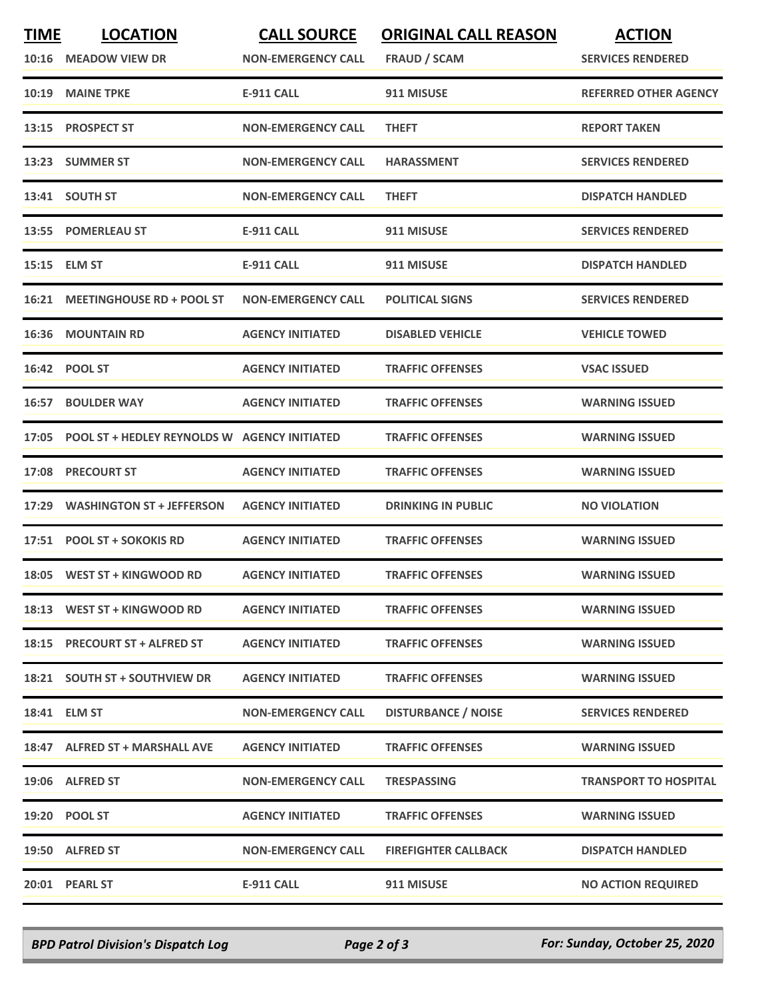| <b>TIME</b> | <b>LOCATION</b><br>10:16 MEADOW VIEW DR            | <b>CALL SOURCE</b><br><b>NON-EMERGENCY CALL</b> | <b>ORIGINAL CALL REASON</b><br><b>FRAUD / SCAM</b> | <b>ACTION</b><br><b>SERVICES RENDERED</b> |
|-------------|----------------------------------------------------|-------------------------------------------------|----------------------------------------------------|-------------------------------------------|
| 10:19       | <b>MAINE TPKE</b>                                  | <b>E-911 CALL</b>                               | 911 MISUSE                                         | <b>REFERRED OTHER AGENCY</b>              |
| 13:15       | <b>PROSPECT ST</b>                                 | <b>NON-EMERGENCY CALL</b>                       | <b>THEFT</b>                                       | <b>REPORT TAKEN</b>                       |
|             | 13:23 SUMMER ST                                    | <b>NON-EMERGENCY CALL</b>                       | <b>HARASSMENT</b>                                  | <b>SERVICES RENDERED</b>                  |
|             | 13:41 SOUTH ST                                     | <b>NON-EMERGENCY CALL</b>                       | <b>THEFT</b>                                       | <b>DISPATCH HANDLED</b>                   |
|             | 13:55 POMERLEAU ST                                 | <b>E-911 CALL</b>                               | 911 MISUSE                                         | <b>SERVICES RENDERED</b>                  |
| 15:15       | <b>ELM ST</b>                                      | <b>E-911 CALL</b>                               | 911 MISUSE                                         | <b>DISPATCH HANDLED</b>                   |
|             | 16:21 MEETINGHOUSE RD + POOL ST                    | <b>NON-EMERGENCY CALL</b>                       | <b>POLITICAL SIGNS</b>                             | <b>SERVICES RENDERED</b>                  |
| 16:36       | <b>MOUNTAIN RD</b>                                 | <b>AGENCY INITIATED</b>                         | <b>DISABLED VEHICLE</b>                            | <b>VEHICLE TOWED</b>                      |
|             | 16:42 POOL ST                                      | <b>AGENCY INITIATED</b>                         | <b>TRAFFIC OFFENSES</b>                            | <b>VSAC ISSUED</b>                        |
| 16:57       | <b>BOULDER WAY</b>                                 | <b>AGENCY INITIATED</b>                         | <b>TRAFFIC OFFENSES</b>                            | <b>WARNING ISSUED</b>                     |
|             | 17:05 POOL ST + HEDLEY REYNOLDS W AGENCY INITIATED |                                                 | <b>TRAFFIC OFFENSES</b>                            | <b>WARNING ISSUED</b>                     |
| 17:08       | <b>PRECOURT ST</b>                                 | <b>AGENCY INITIATED</b>                         | <b>TRAFFIC OFFENSES</b>                            | <b>WARNING ISSUED</b>                     |
| 17:29       | <b>WASHINGTON ST + JEFFERSON</b>                   | <b>AGENCY INITIATED</b>                         | <b>DRINKING IN PUBLIC</b>                          | <b>NO VIOLATION</b>                       |
|             | 17:51 POOL ST + SOKOKIS RD                         | <b>AGENCY INITIATED</b>                         | <b>TRAFFIC OFFENSES</b>                            | <b>WARNING ISSUED</b>                     |
|             | 18:05 WEST ST + KINGWOOD RD                        | <b>AGENCY INITIATED</b>                         | <b>TRAFFIC OFFENSES</b>                            | <b>WARNING ISSUED</b>                     |
|             | 18:13 WEST ST + KINGWOOD RD                        | <b>AGENCY INITIATED</b>                         | <b>TRAFFIC OFFENSES</b>                            | <b>WARNING ISSUED</b>                     |
|             | 18:15 PRECOURT ST + ALFRED ST                      | <b>AGENCY INITIATED</b>                         | <b>TRAFFIC OFFENSES</b>                            | <b>WARNING ISSUED</b>                     |
|             | 18:21 SOUTH ST + SOUTHVIEW DR                      | <b>AGENCY INITIATED</b>                         | <b>TRAFFIC OFFENSES</b>                            | <b>WARNING ISSUED</b>                     |
|             | 18:41 ELM ST                                       | <b>NON-EMERGENCY CALL</b>                       | <b>DISTURBANCE / NOISE</b>                         | <b>SERVICES RENDERED</b>                  |
|             | 18:47 ALFRED ST + MARSHALL AVE                     | <b>AGENCY INITIATED</b>                         | <b>TRAFFIC OFFENSES</b>                            | <b>WARNING ISSUED</b>                     |
|             | 19:06 ALFRED ST                                    | <b>NON-EMERGENCY CALL</b>                       | <b>TRESPASSING</b>                                 | <b>TRANSPORT TO HOSPITAL</b>              |
|             | 19:20 POOL ST                                      | <b>AGENCY INITIATED</b>                         | <b>TRAFFIC OFFENSES</b>                            | <b>WARNING ISSUED</b>                     |
|             | 19:50 ALFRED ST                                    | <b>NON-EMERGENCY CALL</b>                       | <b>FIREFIGHTER CALLBACK</b>                        | <b>DISPATCH HANDLED</b>                   |
|             | 20:01 PEARL ST                                     | <b>E-911 CALL</b>                               | 911 MISUSE                                         | <b>NO ACTION REQUIRED</b>                 |

*BPD Patrol Division's Dispatch Log Page 2 of 3 For: Sunday, October 25, 2020*